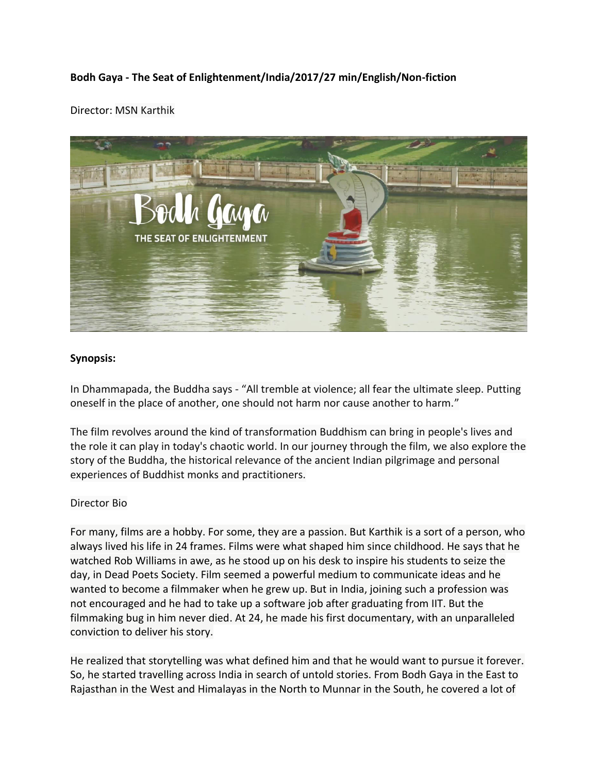## **Bodh Gaya - The Seat of Enlightenment/India/2017/27 min/English/Non-fiction**

## Director: MSN Karthik



## **Synopsis:**

In Dhammapada, the Buddha says - "All tremble at violence; all fear the ultimate sleep. Putting oneself in the place of another, one should not harm nor cause another to harm."

The film revolves around the kind of transformation Buddhism can bring in people's lives and the role it can play in today's chaotic world. In our journey through the film, we also explore the story of the Buddha, the historical relevance of the ancient Indian pilgrimage and personal experiences of Buddhist monks and practitioners.

## Director Bio

For many, films are a hobby. For some, they are a passion. But Karthik is a sort of a person, who always lived his life in 24 frames. Films were what shaped him since childhood. He says that he watched Rob Williams in awe, as he stood up on his desk to inspire his students to seize the day, in Dead Poets Society. Film seemed a powerful medium to communicate ideas and he wanted to become a filmmaker when he grew up. But in India, joining such a profession was not encouraged and he had to take up a software job after graduating from IIT. But the filmmaking bug in him never died. At 24, he made his first documentary, with an unparalleled conviction to deliver his story.

He realized that storytelling was what defined him and that he would want to pursue it forever. So, he started travelling across India in search of untold stories. From Bodh Gaya in the East to Rajasthan in the West and Himalayas in the North to Munnar in the South, he covered a lot of